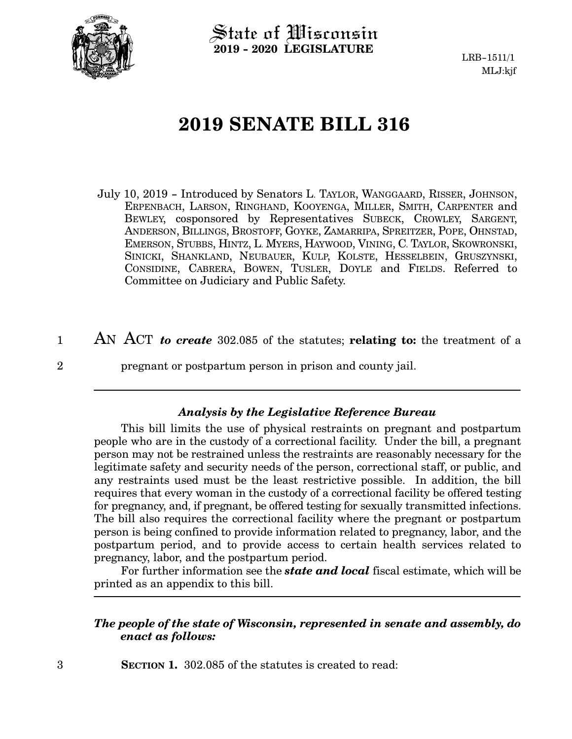

3

State of Wisconsin **2019 - 2020 LEGISLATURE**

LRB-1511/1 MLJ:kjf

# **2019 SENATE BILL 316**

- July 10, 2019 Introduced by Senators L. TAYLOR, WANGGAARD, RISSER, JOHNSON, ERPENBACH, LARSON, RINGHAND, KOOYENGA, MILLER, SMITH, CARPENTER and BEWLEY, cosponsored by Representatives SUBECK, CROWLEY, SARGENT, ANDERSON, BILLINGS, BROSTOFF, GOYKE, ZAMARRIPA, SPREITZER, POPE, OHNSTAD, EMERSON, STUBBS, HINTZ, L. MYERS, HAYWOOD, VINING, C. TAYLOR, SKOWRONSKI, SINICKI, SHANKLAND, NEUBAUER, KULP, KOLSTE, HESSELBEIN, GRUSZYNSKI, CONSIDINE, CABRERA, BOWEN, TUSLER, DOYLE and FIELDS. Referred to Committee on Judiciary and Public Safety.
- AN ACT *to create* 302.085 of the statutes; **relating to:** the treatment of a pregnant or postpartum person in prison and county jail. 1 2

### *Analysis by the Legislative Reference Bureau*

This bill limits the use of physical restraints on pregnant and postpartum people who are in the custody of a correctional facility. Under the bill, a pregnant person may not be restrained unless the restraints are reasonably necessary for the legitimate safety and security needs of the person, correctional staff, or public, and any restraints used must be the least restrictive possible. In addition, the bill requires that every woman in the custody of a correctional facility be offered testing for pregnancy, and, if pregnant, be offered testing for sexually transmitted infections. The bill also requires the correctional facility where the pregnant or postpartum person is being confined to provide information related to pregnancy, labor, and the postpartum period, and to provide access to certain health services related to pregnancy, labor, and the postpartum period.

For further information see the *state and local* fiscal estimate, which will be printed as an appendix to this bill.

#### *The people of the state of Wisconsin, represented in senate and assembly, do enact as follows:*

**SECTION 1.** 302.085 of the statutes is created to read: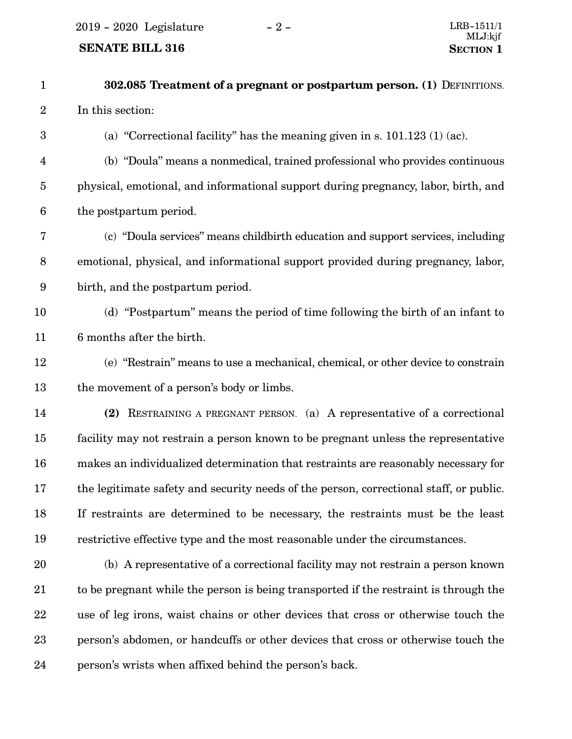$2019 - 2020$  Legislature  $-2 -$ 

## **SENATE BILL 316**

| $\mathbf{1}$            | 302.085 Treatment of a pregnant or postpartum person. (1) DEFINITIONS.                 |
|-------------------------|----------------------------------------------------------------------------------------|
| $\sqrt{2}$              | In this section:                                                                       |
| $\boldsymbol{3}$        | (a) "Correctional facility" has the meaning given in s. $101.123$ (1) (ac).            |
| $\overline{\mathbf{4}}$ | (b) "Doula" means a nonmedical, trained professional who provides continuous           |
| $\overline{5}$          | physical, emotional, and informational support during pregnancy, labor, birth, and     |
| $\boldsymbol{6}$        | the postpartum period.                                                                 |
| 7                       | (c) "Doula services" means childbirth education and support services, including        |
| $\, 8$                  | emotional, physical, and informational support provided during pregnancy, labor,       |
| 9                       | birth, and the postpartum period.                                                      |
| 10                      | (d) "Postpartum" means the period of time following the birth of an infant to          |
| 11                      | 6 months after the birth.                                                              |
| 12                      | (e) "Restrain" means to use a mechanical, chemical, or other device to constrain       |
| 13                      | the movement of a person's body or limbs.                                              |
| 14                      | (2) RESTRAINING A PREGNANT PERSON. (a) A representative of a correctional              |
| 15                      | facility may not restrain a person known to be pregnant unless the representative      |
| 16                      | makes an individualized determination that restraints are reasonably necessary for     |
| 17                      | the legitimate safety and security needs of the person, correctional staff, or public. |
| 18                      | If restraints are determined to be necessary, the restraints must be the least         |
| 19                      | restrictive effective type and the most reasonable under the circumstances.            |
| 20                      | (b) A representative of a correctional facility may not restrain a person known        |
| 21                      | to be pregnant while the person is being transported if the restraint is through the   |
| 22                      | use of leg irons, waist chains or other devices that cross or otherwise touch the      |
| 23                      | person's abdomen, or handcuffs or other devices that cross or otherwise touch the      |
|                         |                                                                                        |

person's wrists when affixed behind the person's back. 24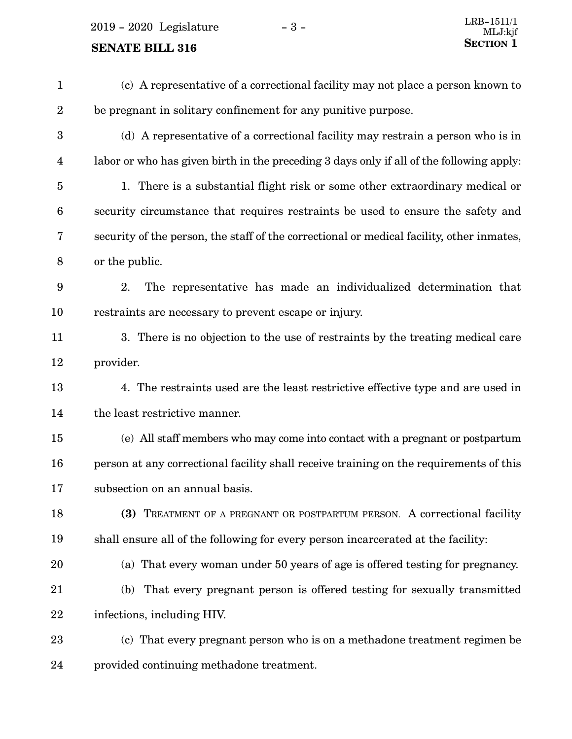$2019 - 2020$  Legislature  $-3 -$ 

## **SENATE BILL 316** SECTION 1

(c) A representative of a correctional facility may not place a person known to be pregnant in solitary confinement for any punitive purpose. (d) A representative of a correctional facility may restrain a person who is in labor or who has given birth in the preceding 3 days only if all of the following apply: 1. There is a substantial flight risk or some other extraordinary medical or security circumstance that requires restraints be used to ensure the safety and security of the person, the staff of the correctional or medical facility, other inmates. or the public. 2. The representative has made an individualized determination that restraints are necessary to prevent escape or injury. 3. There is no objection to the use of restraints by the treating medical care provider. 4. The restraints used are the least restrictive effective type and are used in the least restrictive manner. (e) All staff members who may come into contact with a pregnant or postpartum person at any correctional facility shall receive training on the requirements of this subsection on an annual basis. **(3)** TREATMENT OF A PREGNANT OR POSTPARTUM PERSON. A correctional facility shall ensure all of the following for every person incarcerated at the facility: (a) That every woman under 50 years of age is offered testing for pregnancy. (b) That every pregnant person is offered testing for sexually transmitted infections, including HIV. (c) That every pregnant person who is on a methadone treatment regimen be 1 2 3 4 5 6 7 8 9 10 11 12 13 14 15 16 17 18 19 20 21 22 23

provided continuing methadone treatment. 24